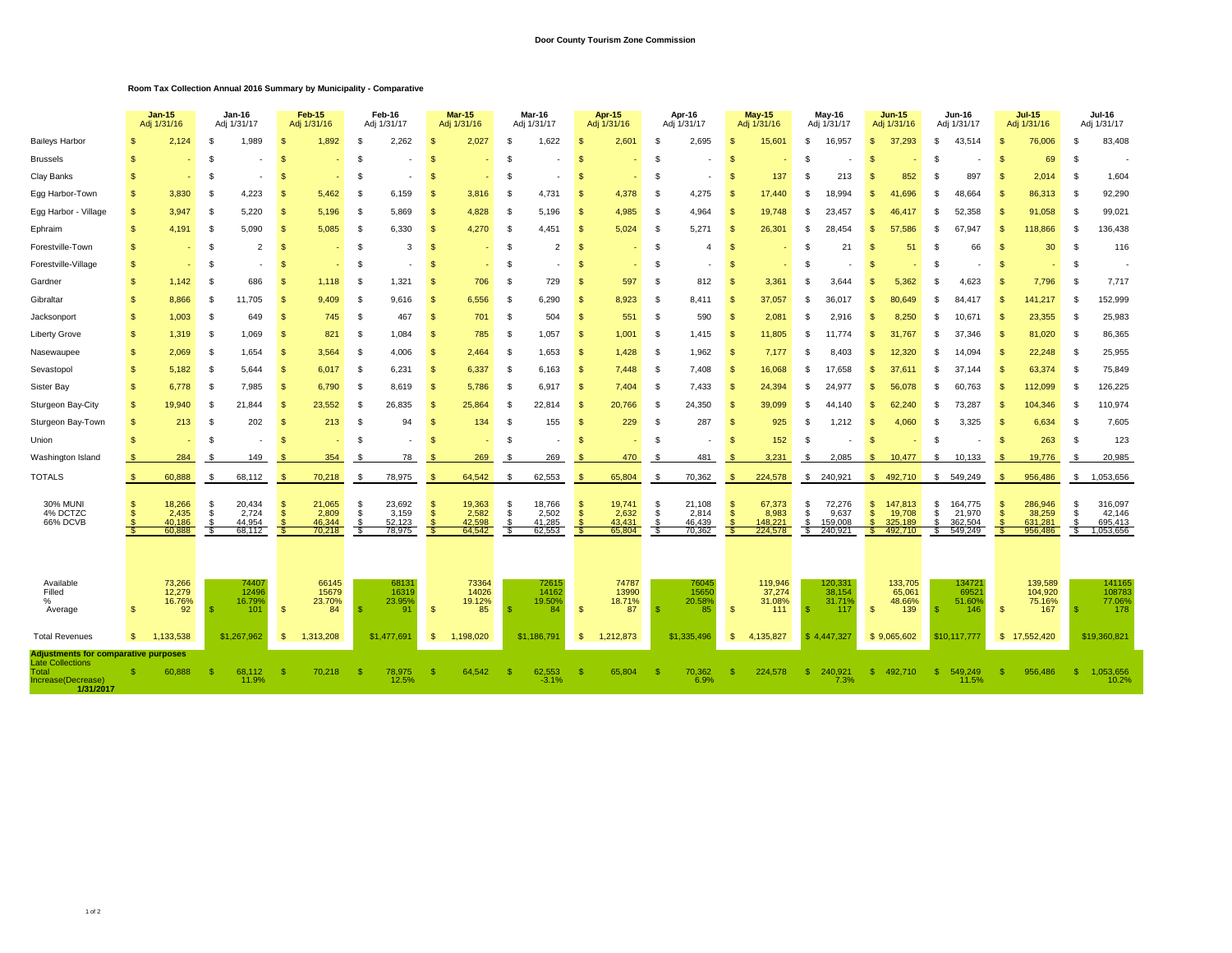## **Door County Tourism Zone Commission**

## **Room Tax Collection Annual 2016 Summary by Municipality - Comparative**

|                                                                                                                    |              | <b>Jan-15</b><br>Adj 1/31/16        |            | Jan-16<br>Adj 1/31/17               |              | <b>Feb-15</b><br>Adj 1/31/16        |          | Feb-16<br>Adj 1/31/17               |                      | <b>Mar-15</b><br>Adj 1/31/16        |          | <b>Mar-16</b><br>Adj 1/31/17        |          | <b>Apr 15</b><br>Adj 1/31/16        |           | Apr-16<br>Adj 1/31/17               |                      | <b>May 15</b><br>Adj 1/31/16          |             | May-16<br>Adj 1/31/17                 |                    | <b>Jun-15</b><br>Adj 1/31/16            |        | <b>Jun-16</b><br>Adj 1/31/17            |                | <b>Jul-15</b><br>Adj 1/31/16            |          | Jul-16<br>Adj 1/31/17                     |  |
|--------------------------------------------------------------------------------------------------------------------|--------------|-------------------------------------|------------|-------------------------------------|--------------|-------------------------------------|----------|-------------------------------------|----------------------|-------------------------------------|----------|-------------------------------------|----------|-------------------------------------|-----------|-------------------------------------|----------------------|---------------------------------------|-------------|---------------------------------------|--------------------|-----------------------------------------|--------|-----------------------------------------|----------------|-----------------------------------------|----------|-------------------------------------------|--|
| <b>Baileys Harbor</b>                                                                                              |              | 2,124                               |            | 1.989                               |              | 1,892                               | S.       | 2,262                               |                      | 2,027                               |          | 1,622                               |          | 2,60'                               |           | 2,695                               | Я                    | 15,601                                | -S.         | 16,957                                | \$                 | 37,293                                  | -S     | 43.514                                  | -S             | 76,006                                  | S        | 83,408                                    |  |
| <b>Brussels</b>                                                                                                    | -S           |                                     | \$         |                                     | S            |                                     | \$       |                                     |                      |                                     |          |                                     | S        |                                     | \$        |                                     | £.                   |                                       |             |                                       | \$                 |                                         | -S     |                                         | $\mathfrak{s}$ | 69                                      | <b>S</b> |                                           |  |
| Clay Banks                                                                                                         | $\mathbf{s}$ |                                     | -S         |                                     | S            |                                     | \$       |                                     | \$                   |                                     | -S       |                                     | S        |                                     | \$        |                                     | S                    | 137                                   | - \$        | 213                                   | S                  | 852                                     | -S     | 897                                     | <sup>\$</sup>  | 2.014                                   | -S       | 1,604                                     |  |
| Egg Harbor-Town                                                                                                    | S.           | 3,830                               | -S         | 4,223                               | S            | 5,462                               | -S       | 6,159                               | $\mathfrak{L}$       | 3,816                               | -S       | 4,731                               | <b>S</b> | 4,378                               | - \$      | 4,275                               | \$                   | 17,440                                | - 35        | 18.994                                | \$.                | 41.696                                  | £.     | 48,664                                  | $\mathfrak{s}$ | 86,313                                  | -S       | 92,290                                    |  |
| Egg Harbor - Village                                                                                               | $\mathbf{s}$ | 3,947                               | -S         | 5,220                               | \$.          | 5,196                               | -S       | 5,869                               | $\mathfrak{L}$       | 4,828                               | -S       | 5,196                               | S        | 4,985                               | - \$      | 4,964                               | £.                   | 19,748                                |             | 23,457                                | \$.                | 46.417                                  | - 55   | 52.358                                  | $\mathfrak{s}$ | 91,058                                  | <b>S</b> | 99,021                                    |  |
| Ephraim                                                                                                            | $\mathbf{s}$ | 4,191                               | -S         | 5.090                               | \$.          | 5,085                               | \$       | 6.330                               | $\mathfrak{L}$       | 4,270                               | -S       | 4.451                               | <b>S</b> | 5,024                               | - \$      | 5,271                               | -S                   | 26,301                                | - 96        | 28.454                                | \$.                | 57.586                                  | -S     | 67<br>.947                              |                | 118,866                                 | <b>S</b> | 136,438                                   |  |
| Forestville-Town                                                                                                   | <b>S</b>     |                                     | -S         | $\overline{2}$                      | S            | ٠                                   | -S       | 3                                   | <sup>\$</sup>        |                                     | -S       | $\overline{2}$                      | <b>S</b> |                                     | - \$      | $\overline{4}$                      | \$                   |                                       | - \$        | 21                                    | S                  | 51                                      | -S     | 66                                      | S              | 30                                      | -S       | 116                                       |  |
| Forestville-Village                                                                                                | S.           |                                     | -S         |                                     | S            |                                     | \$       |                                     | <sup>\$</sup>        |                                     | -S       |                                     | <b>S</b> |                                     | - \$      |                                     | \$                   |                                       | - \$        |                                       | S                  |                                         | S      |                                         | $\mathfrak{s}$ |                                         | -S       |                                           |  |
| Gardner                                                                                                            | <b>S</b>     | 1,142                               | -S         | 686                                 | \$.          | 1,118                               | -S       | 1,321                               | $\mathfrak{L}$       | 706                                 | -S       | 729                                 | S        | 597                                 | \$        | 812                                 | £.                   | 3,361                                 |             | 3.644                                 | S.                 | 5,362                                   | £.     | 4,623                                   |                | 7,796                                   | <b>S</b> | 7,717                                     |  |
| Gibraltar                                                                                                          | <b>S</b>     | 8,866                               | -S         | 11,705                              | \$.          | 9,409                               | \$       | 9.616                               | $\mathfrak{L}$       | 6,556                               | -S       | 6.290                               | S        | 8,923                               | - \$      | 8,411                               | -S                   | 37,057                                | . ፍ         | 36.017                                | \$                 | 80.649                                  | £.     | 84.417                                  |                | 141,217                                 | <b>S</b> | 152,999                                   |  |
| Jacksonport                                                                                                        | <b>S</b>     | 1,003                               | \$         | 649                                 | S            | 745                                 | - \$     | 467                                 | -S                   | 701                                 | -S       | 504                                 | <b>S</b> | 551                                 | - \$      | 590                                 | \$                   | 2,081                                 | - \$        | 2.916                                 | \$                 | 8,250                                   | S      | 10,671                                  | <sup>\$</sup>  | 23,355                                  | \$       | 25,983                                    |  |
| <b>Liberty Grove</b>                                                                                               | <b>S</b>     | 1,319                               | - \$       | 1,069                               | -S           | 821                                 | - \$     | 1,084                               | -S                   | 785                                 | - \$     | 1,057                               | - \$     | 1,001                               | - \$      | 1,415                               | - \$                 | 11,805                                | - 35        | 11.774                                | -\$                | 31,767                                  | -S     | 37<br>.346                              | -\$            | 81,020                                  | -S       | 86,365                                    |  |
| Nasewaupee                                                                                                         | \$           | 2,069                               | -S         | 1,654                               | S            | 3,564                               | - \$     | 4,006                               | -\$                  | 2,464                               | - \$     | 1,653                               | - \$     | 1,428                               | - \$      | 1,962                               | -S                   | 7,177                                 |             | 8,403                                 | \$                 | 12,320                                  | -S     | 14.094                                  | $\mathfrak{s}$ | 22,248                                  | -S       | 25,955                                    |  |
| Sevastopol                                                                                                         | \$           | 5,182                               | -S         | 5.644                               | $\mathbf{s}$ | 6,017                               | -S       | 6,231                               | -\$                  | 6,337                               | -S       | 6,163                               | <b>S</b> | 7,448                               | - \$      | 7,408                               | -S                   | 16,068                                | . ፍ         | 17,658                                | \$                 | 37.61                                   | £.     | 37,144                                  | .q             | 63,374                                  | -S       | 75,849                                    |  |
| Sister Bay                                                                                                         | \$           | 6,778                               | -S         | 7,985                               | $\mathbf{s}$ | 6,790                               | -S       | 8,619                               | -\$                  | 5,786                               | -S       | 6,917                               | - \$     | 7,404                               | - \$      | 7,433                               | \$                   | 24,394                                | - 35        | 24.977                                | -\$                | 56,078                                  | -S     | 60,763                                  | -S             | 112,099                                 | \$       | 126,225                                   |  |
| Sturgeon Bay-City                                                                                                  | S.           | 19.940                              | -S         | 21.844                              | - \$         | 23,552                              | - \$     | 26,835                              | - \$                 | 25,864                              | - \$     | 22,814                              | - \$     | 20,766                              | - \$      | 24,350                              | - \$                 | 39,099                                | - \$        | 44.140                                | \$                 | 62,240                                  | S      | 73,287                                  | -S             | 104.346                                 | -S       | 110,974                                   |  |
| Sturgeon Bay-Town                                                                                                  | S.           | 213                                 | -S         | 202                                 | -S           | 213                                 | \$       | 94                                  | <sup>\$</sup>        | 134                                 | - \$     | 155                                 | -S       | 229                                 | - \$      | 287                                 | \$                   | 925                                   | - 5         | 1,212                                 | -\$                | 4,060                                   | - \$   | 3,325                                   | .S             | 6,634                                   | -S       | 7,605                                     |  |
| Union                                                                                                              | -S           |                                     | -S         |                                     | ş.           |                                     | £.       |                                     | \$                   |                                     | -S       |                                     | S        |                                     | \$        |                                     | -9                   | 152                                   | - \$        |                                       | \$.                |                                         | £.     |                                         | -S             | 263                                     | <b>S</b> | 123                                       |  |
| Washington Island                                                                                                  |              | 284                                 | -S         | 149                                 | -S           | 354                                 | - 5      | 78                                  |                      | 269                                 | - 5      | 269                                 | S        | 470                                 | - \$      | 481                                 | -9                   | 3,231                                 | -\$         | 2,085                                 | -S                 | 10,477                                  | - \$   | 10,133                                  | - \$           | 19,776                                  | \$       | 20,985                                    |  |
| <b>TOTALS</b>                                                                                                      | \$           | 60,888                              |            | 68,112                              |              | 70,218                              |          | 78,975                              |                      | 64,542                              |          | 62,553                              |          | 65,804                              | £.        | 70,362                              |                      | 224,578                               | - \$        | 240,921                               | \$                 | 492,710                                 | S.     | 549,249                                 |                | 956,486                                 | S.       | 1,053,656                                 |  |
| <b>30% MUNI</b><br>4% DCTZC<br>66% DCVB                                                                            | -SS          | 18,266<br>2,435<br>40.186<br>60,888 | - \$<br>\$ | 20,434<br>2,724<br>44,954<br>68,112 | ş.<br>\$.    | 21,065<br>2,809<br>46.344<br>70,218 | \$<br>\$ | 23,692<br>3,159<br>52,123<br>78,975 | -S<br>$\mathfrak{L}$ | 19,363<br>2,582<br>42,598<br>64,542 | -S<br>-S | 18,766<br>2,502<br>41,285<br>62,553 | S<br>\$  | 19,741<br>2,632<br>43.431<br>65,804 | -\$<br>\$ | 21,108<br>2,814<br>46.439<br>70,362 | - 5<br><sup>\$</sup> | 67,373<br>8,983<br>148,221<br>224,578 | - 5<br>- \$ | 72,276<br>9,637<br>159.008<br>240,921 | \$<br>$\mathbf{s}$ | 147,813<br>19,708<br>325,189<br>492,710 | S<br>S | 164,775<br>21,970<br>362,504<br>549,249 | \$<br>\$       | 286,946<br>38,259<br>631,281<br>956,486 | \$<br>Ŝ. | 316,097<br>42,146<br>695,413<br>1,053,656 |  |
| Available<br>Filled<br>$\%$<br>Average                                                                             | -S           | 73,266<br>12,279<br>16.76%<br>92    |            | 74407<br>12496<br>16.79%<br>101     | $\mathbf{s}$ | 66145<br>15679<br>23.70%<br>84      |          | 68131<br>16319<br>23.95%<br>91      | $\mathcal{S}$        | 73364<br>14026<br>19.12%<br>85      |          | 72615<br>14162<br>19.50%<br>84      | -S       | 74787<br>13990<br>18.71%<br>87      | -\$       | 7604<br>15650<br>20.58%<br>85       | $\mathbf{s}$         | 119,946<br>37,274<br>31.08%<br>111    |             | 120,33'<br>38.154<br>31.71%<br>117    | <sup>\$</sup>      | 133,705<br>65,061<br>48.66%<br>139      | -S     | 134721<br>6952<br>51.60%<br>146         | \$             | 139,589<br>104,920<br>75.16%<br>167     | -S       | 141165<br>108783<br>77.06%<br>178         |  |
| <b>Total Revenues</b>                                                                                              | s.           | 1,133,538                           |            | \$1,267,962                         | <b>S</b>     | 1,313,208                           |          | \$1,477.691                         | -S                   | 1,198,020                           |          | \$1,186,791                         | - \$     | 1,212,873                           |           | \$1,335,496                         | $\mathfrak{s}$       | 4,135,827                             |             | \$4.447.327                           |                    | \$9,065,602                             |        | \$10,117,777                            |                | \$17,552,420                            |          | \$19,360,821                              |  |
| <b>Adjustments for comparative purposes</b><br><b>Late Collections</b><br>Total<br>Increase(Decrease)<br>1/31/2017 |              | 60,888                              |            | 68,112<br>11.9%                     |              | 70,218                              | -9       | 78,975<br>12.5%                     |                      | 64,542                              |          | 62,553<br>$-3.1%$                   |          | 65,804                              | - \$      | 70,362<br>6.9%                      | -S                   | 224,578                               | -\$         | 240,921<br>7.3%                       | \$.                | 492,710                                 | -S     | 549,249<br>11.5%                        | -\$            | 956,486                                 | -8       | 1,053,656<br>10.2%                        |  |